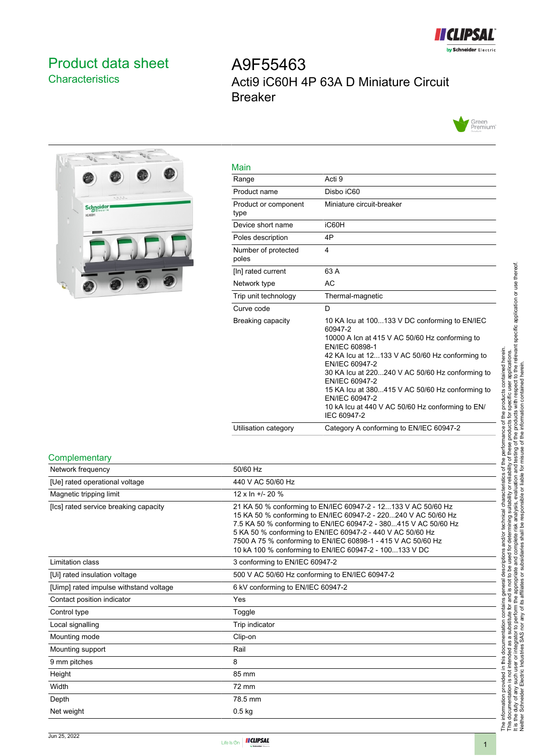

## <span id="page-0-0"></span>Product data sheet **Characteristics**

# A9F55463 Acti9 iC60H 4P 63A D Miniature Circuit Breaker





| Main                         |                                                                                                                                                                                                                                                                                                                                                                                                               |
|------------------------------|---------------------------------------------------------------------------------------------------------------------------------------------------------------------------------------------------------------------------------------------------------------------------------------------------------------------------------------------------------------------------------------------------------------|
| Range                        | Acti 9                                                                                                                                                                                                                                                                                                                                                                                                        |
| Product name                 | Disbo iC60                                                                                                                                                                                                                                                                                                                                                                                                    |
| Product or component<br>type | Miniature circuit-breaker                                                                                                                                                                                                                                                                                                                                                                                     |
| Device short name            | iC60H                                                                                                                                                                                                                                                                                                                                                                                                         |
| Poles description            | 4P                                                                                                                                                                                                                                                                                                                                                                                                            |
| Number of protected<br>poles | 4                                                                                                                                                                                                                                                                                                                                                                                                             |
| [In] rated current           | 63 A                                                                                                                                                                                                                                                                                                                                                                                                          |
| Network type                 | AC                                                                                                                                                                                                                                                                                                                                                                                                            |
| Trip unit technology         | Thermal-magnetic                                                                                                                                                                                                                                                                                                                                                                                              |
| Curve code                   | D                                                                                                                                                                                                                                                                                                                                                                                                             |
| Breaking capacity            | 10 KA Icu at 100133 V DC conforming to EN/IEC<br>60947-2<br>10000 A Icn at 415 V AC 50/60 Hz conforming to<br>EN/IEC 60898-1<br>42 KA Icu at 12133 V AC 50/60 Hz conforming to<br>EN/IEC 60947-2<br>30 KA Icu at 220240 V AC 50/60 Hz conforming to<br>EN/IEC 60947-2<br>15 KA lcu at 380415 V AC 50/60 Hz conforming to<br>EN/IEC 60947-2<br>10 kA lcu at 440 V AC 50/60 Hz conforming to EN/<br>IEC 60947-2 |
| Utilisation category         | Category A conforming to EN/IEC 60947-2                                                                                                                                                                                                                                                                                                                                                                       |

#### **Complementary**

| 50/60 Hz<br>440 V AC 50/60 Hz<br>$12 \times \ln +120 \%$<br>21 KA 50 % conforming to EN/IEC 60947-2 - 12133 V AC 50/60 Hz<br>15 KA 50 % conforming to EN/IEC 60947-2 - 220240 V AC 50/60 Hz                                                             |
|---------------------------------------------------------------------------------------------------------------------------------------------------------------------------------------------------------------------------------------------------------|
|                                                                                                                                                                                                                                                         |
|                                                                                                                                                                                                                                                         |
|                                                                                                                                                                                                                                                         |
| 7.5 KA 50 % conforming to EN/IEC 60947-2 - 380415 V AC 50/60 Hz<br>5 KA 50 % conforming to EN/IEC 60947-2 - 440 V AC 50/60 Hz<br>7500 A 75 % conforming to EN/IEC 60898-1 - 415 V AC 50/60 Hz<br>10 kA 100 % conforming to EN/IEC 60947-2 - 100133 V DC |
| 3 conforming to EN/IEC 60947-2                                                                                                                                                                                                                          |
| 500 V AC 50/60 Hz conforming to EN/IEC 60947-2                                                                                                                                                                                                          |
| 6 kV conforming to EN/IEC 60947-2                                                                                                                                                                                                                       |
| Yes                                                                                                                                                                                                                                                     |
| Toggle                                                                                                                                                                                                                                                  |
| Trip indicator                                                                                                                                                                                                                                          |
| Clip-on                                                                                                                                                                                                                                                 |
| Rail                                                                                                                                                                                                                                                    |
| 8                                                                                                                                                                                                                                                       |
| 85 mm                                                                                                                                                                                                                                                   |
| 72 mm                                                                                                                                                                                                                                                   |
| 78.5 mm                                                                                                                                                                                                                                                 |
| $0.5$ kg                                                                                                                                                                                                                                                |
|                                                                                                                                                                                                                                                         |